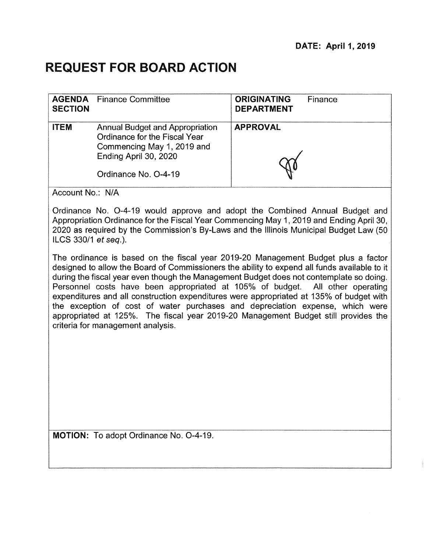# **REQUEST FOR BOARD ACTION**

| <b>SECTION</b> | <b>AGENDA</b> Finance Committee                                                                                                                        | <b>ORIGINATING</b><br>Finance<br><b>DEPARTMENT</b> |
|----------------|--------------------------------------------------------------------------------------------------------------------------------------------------------|----------------------------------------------------|
| <b>ITEM</b>    | <b>Annual Budget and Appropriation</b><br>Ordinance for the Fiscal Year<br>Commencing May 1, 2019 and<br>Ending April 30, 2020<br>Ordinance No. O-4-19 | <b>APPROVAL</b>                                    |

Account No.: N/A

Ordinance No. 0-4-19 would approve and adopt the Combined Annual Budget and Appropriation Ordinance for the Fiscal Year Commencing May 1, 2019 and Ending April 30, 2020 as required by the Commission's By-Laws and the Illinois Municipal Budget Law (50 ILCS 330/1 et seq.).

The ordinance is based on the fiscal year 2019-20 Management Budget plus a factor designed to allow the Board of Commissioners the ability to expend all funds available to it during the fiscal year even though the Management Budget does not contemplate so doing. Personnel costs have been appropriated at 105% of budget. All other operating expenditures and all construction expenditures were appropriated at 135% of budget with the exception of cost of water purchases and depreciation expense, which were appropriated at 125%. The fiscal year 2019-20 Management Budget still provides the criteria for management analysis.

MOTION: To adopt Ordinance No. 0-4-19.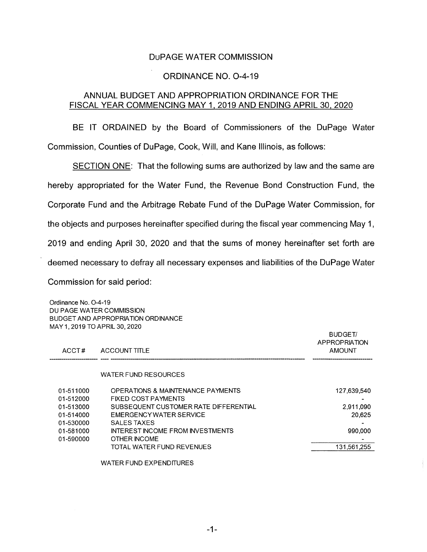#### DuPAGE WATER COMMISSION

#### ORDINANCE NO. 0-4-19

## ANNUAL BUDGET AND APPROPRIATION ORDINANCE FOR THE FISCAL YEAR COMMENCING MAY 1, 2019 AND ENDING APRIL 30, 2020

BE IT ORDAINED by the Board of Commissioners of the DuPage Water Commission, Counties of DuPage, Cook, Will, and Kane Illinois, as follows:

SECTION ONE: That the following sums are authorized by law and the same are hereby appropriated for the Water Fund, the Revenue Bond Construction Fund, the Corporate Fund and the Arbitrage Rebate Fund of the DuPage Water Commission, for the objects and purposes hereinafter specified during the fiscal year commencing May 1, 2019 and ending April 30, 2020 and that the sums of money hereinafter set forth are deemed necessary to defray all necessary expenses and liabilities of the DuPage Water Commission for said period:

Ordinance No. 0-4-19 DU PAGE WATER COMMISSION BUDGET AND APPROPRIATION ORDINANCE MAY 1, 2019 TO APRIL 30,2020

| ACCT#                  | <b>ACCOUNT TITLE</b>                                            | <b>BUDGET/</b><br>APPROPRIATION<br><b>AMOUNT</b> |
|------------------------|-----------------------------------------------------------------|--------------------------------------------------|
|                        | WATER FUND RESOURCES                                            |                                                  |
| 01-511000<br>01-512000 | OPERATIONS & MAINTENANCE PAYMENTS<br><b>FIXED COST PAYMENTS</b> | 127,639,540                                      |
| 01-513000              | SUBSEQUENT CUSTOMER RATE DIFFERENTIAL                           | 2.911.090                                        |
| 01-514000              | EMERGENCY WATER SERVICE                                         | 20,625                                           |
| 01-530000              | SALES TAXES                                                     |                                                  |
| 01-581000              | <b>INTEREST INCOME FROM INVESTMENTS</b>                         | 990,000                                          |
| 01-590000              | OTHER INCOME                                                    |                                                  |
|                        | TOTAL WATER FUND REVENUES                                       | 131,561,255                                      |
|                        |                                                                 |                                                  |

WATER FUND EXPENDITURES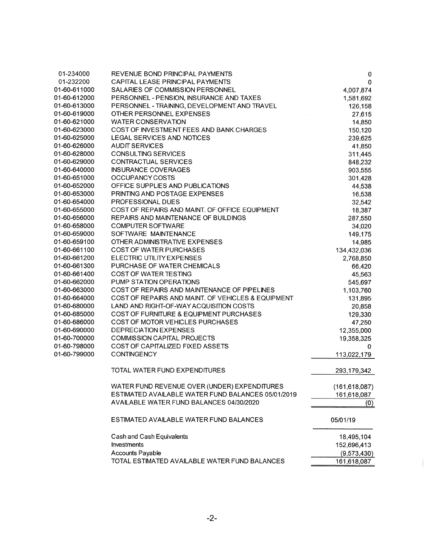| 01-234000    | REVENUE BOND PRINCIPAL PAYMENTS                    | 0               |
|--------------|----------------------------------------------------|-----------------|
| 01-232200    | CAPITAL LEASE PRINCIPAL PAYMENTS                   | 0               |
| 01-60-611000 | SALARIES OF COMMISSION PERSONNEL                   | 4,007,874       |
| 01-60-612000 | PERSONNEL - PENSION, INSURANCE AND TAXES           | 1,581,692       |
| 01-60-613000 | PERSONNEL - TRAINING, DEVELOPMENT AND TRAVEL       | 126,158         |
| 01-60-619000 | OTHER PERSONNEL EXPENSES                           | 27,615          |
| 01-60-621000 | <b>WATER CONSERVATION</b>                          | 14,850          |
| 01-60-623000 | COST OF INVESTMENT FEES AND BANK CHARGES           | 150,120         |
| 01-60-625000 | <b>LEGAL SERVICES AND NOTICES</b>                  | 239,625         |
| 01-60-626000 | <b>AUDIT SERVICES</b>                              | 41,850          |
| 01-60-628000 | <b>CONSULTING SERVICES</b>                         | 311,445         |
| 01-60-629000 | <b>CONTRACTUAL SERVICES</b>                        | 848,232         |
| 01-60-640000 | <b>INSURANCE COVERAGES</b>                         | 903,555         |
| 01-60-651000 | OCCUPANCY COSTS                                    | 301,428         |
| 01-60-652000 | OFFICE SUPPLIES AND PUBLICATIONS                   | 44,538          |
| 01-60-653000 | PRINTING AND POSTAGE EXPENSES                      | 16,538          |
| 01-60-654000 | PROFESSIONAL DUES                                  | 32,542          |
| 01-60-655000 | COST OF REPAIRS AND MAINT. OF OFFICE EQUIPMENT     | 18,387          |
| 01-60-656000 | REPAIRS AND MAINTENANCE OF BUILDINGS               | 287,550         |
| 01-60-658000 | <b>COMPUTER SOFTWARE</b>                           | 34,020          |
| 01-60-659000 | SOFTWARE MAINTENANCE                               | 149,175         |
| 01-60-659100 | OTHER ADMINISTRATIVE EXPENSES                      | 14,985          |
| 01-60-661100 | <b>COST OF WATER PURCHASES</b>                     | 134,432,036     |
| 01-60-661200 | ELECTRIC UTILITY EXPENSES                          | 2,768,850       |
| 01-60-661300 | PURCHASE OF WATER CHEMICALS                        | 66,420          |
| 01-60-661400 | COST OF WATER TESTING                              | 45,563          |
| 01-60-662000 | PUMP STATION OPERATIONS                            | 545,697         |
| 01-60-663000 | COST OF REPAIRS AND MAINTENANCE OF PIPELINES       | 1,103,760       |
| 01-60-664000 | COST OF REPAIRS AND MAINT. OF VEHICLES & EQUIPMENT | 131,895         |
| 01-60-680000 | LAND AND RIGHT-OF-WAY ACQUISITION COSTS            | 20,858          |
| 01-60-685000 | COST OF FURNITURE & EQUIPMENT PURCHASES            | 129,330         |
| 01-60-686000 | COST OF MOTOR VEHICLES PURCHASES                   | 47,250          |
| 01-60-690000 | <b>DEPRECIATION EXPENSES</b>                       | 12,355,000      |
| 01-60-700000 | <b>COMMISSION CAPITAL PROJECTS</b>                 | 19,358,325      |
| 01-60-798000 | <b>COST OF CAPITALIZED FIXED ASSETS</b>            | 0               |
| 01-60-799000 | <b>CONTINGENCY</b>                                 | 113,022,179     |
|              |                                                    |                 |
|              | <b>TOTAL WATER FUND EXPENDITURES</b>               | 293,179,342     |
|              | WATER FUND REVENUE OVER (UNDER) EXPENDITURES       | (161, 618, 087) |
|              | ESTIMATED AVAILABLE WATER FUND BALANCES 05/01/2019 | 161,618,087     |
|              | AVAILABLE WATER FUND BALANCES 04/30/2020           | (0)             |
|              | ESTIMATED AVAILABLE WATER FUND BALANCES            | 05/01/19        |
|              | Cash and Cash Equivalents                          | 18,495,104      |
|              | Investments                                        | 152,696,413     |
|              | <b>Accounts Payable</b>                            | (9,573,430)     |
|              | TOTAL ESTIMATED AVAILABLE WATER FUND BALANCES      | 161,618,087     |

 $\label{eq:1} \begin{aligned} \mathcal{L}_{\mathcal{A}}(\mathcal{A})=\mathcal{L}_{\mathcal{A}}(\mathcal{A})\otimes\mathcal{L}_{\mathcal{A}}(\mathcal{A})\otimes\mathcal{L}_{\mathcal{A}}(\mathcal{A})\otimes\mathcal{L}_{\mathcal{A}}(\mathcal{A})\otimes\mathcal{L}_{\mathcal{A}}(\mathcal{A})\otimes\mathcal{L}_{\mathcal{A}}(\mathcal{A})\otimes\mathcal{L}_{\mathcal{A}}(\mathcal{A})\otimes\mathcal{L}_{\mathcal{A}}(\mathcal{A})\otimes\mathcal{L}_{\mathcal{A}}(\mathcal{A})\otimes\$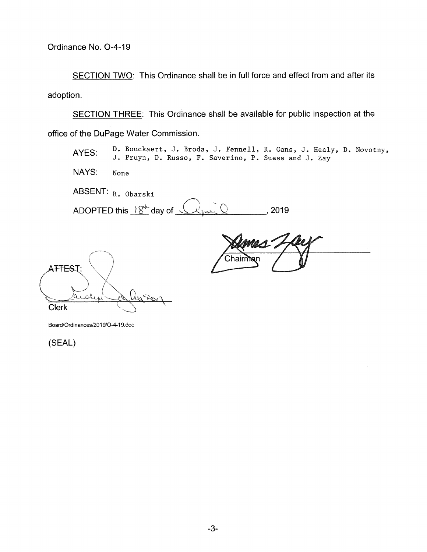SECTION TWO: This Ordinance shall be in full force and effect from and after its adoption.

SECTION THREE: This Ordinance shall be available for public inspection at the office of the DuPage Water Commission.

AYES: D. Bouckaert, J. Broda, J. Fennell, R. Gans, J. Healy, D. Novotny, J. Pruyn, D. Russo, F. Saverino, P. Suess and J. Zay

NAYS: None

ABSENT: R. Obarski

ADOPTED this  $18^{\mu}$  day of  $\sqrt{2\pi Q}$ , 2019

A<del>TTES</del>T: Judy **Clerk** 

Board/Ordinances/2019/O-4-19.doc

(SEAL)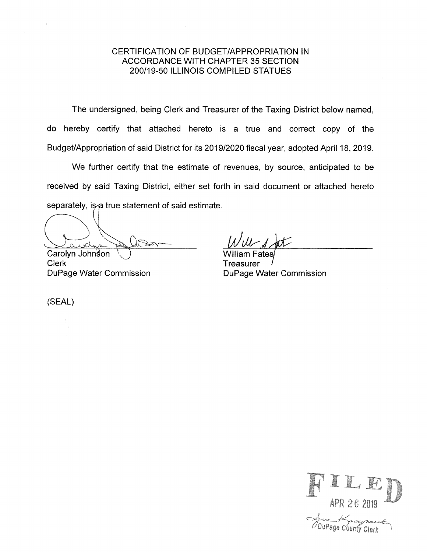# CERTIFICATION OF BUDGET/APPROPRIATION IN ACCORDANCE WITH CHAPTER 35 SECTION 200/19-50 ILLINOIS COMPILED STATUES

The undersigned, being Clerk and Treasurer of the Taxing District below named, do hereby certify that attached hereto is a true and correct copy of the Budget/Appropriation of said District for its 2019/2020 fiscal year, adopted April 18, 2019.

We further certify that the estimate of revenues, by source, anticipated to be received by said Taxing District, either set forth in said document or attached hereto separately, is a true statement of said estimate.

Carolyn Johnson

Clerk DuPage Water Commission

W 1 at

lliam Fates **Treasurer** DuPage Water Commission

(SEAL)